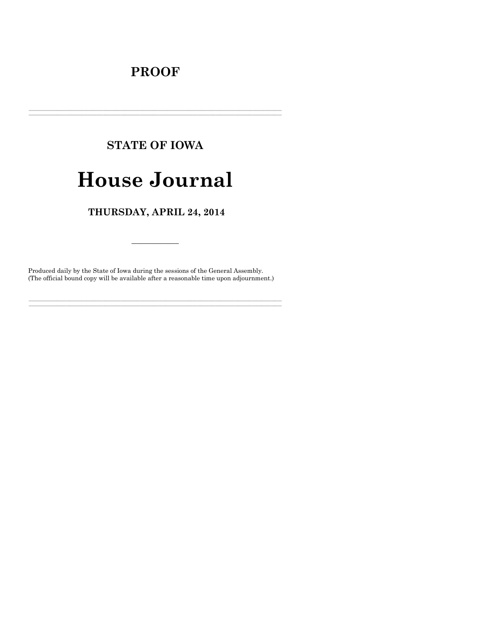## **PROOF**

## **STATE OF IOWA**

# **House Journal**

### THURSDAY, APRIL 24, 2014

Produced daily by the State of Iowa during the sessions of the General Assembly. (The official bound copy will be available after a reasonable time upon adjournment.)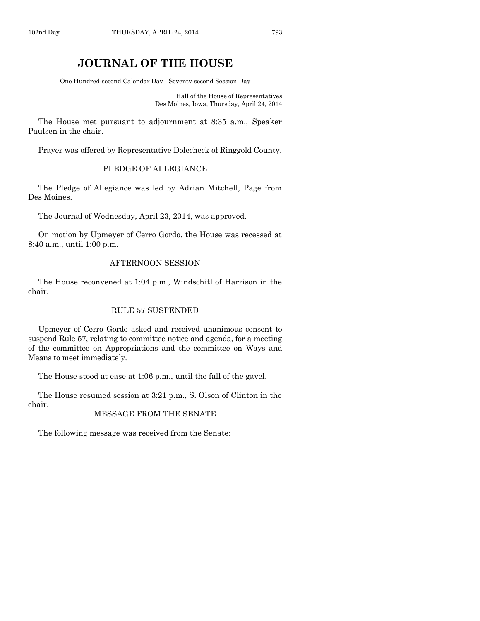### **JOURNAL OF THE HOUSE**

One Hundred-second Calendar Day - Seventy-second Session Day

Hall of the House of Representatives Des Moines, Iowa, Thursday, April 24, 2014

The House met pursuant to adjournment at 8:35 a.m., Speaker Paulsen in the chair.

Prayer was offered by Representative Dolecheck of Ringgold County.

#### PLEDGE OF ALLEGIANCE

The Pledge of Allegiance was led by Adrian Mitchell, Page from Des Moines.

The Journal of Wednesday, April 23, 2014, was approved.

On motion by Upmeyer of Cerro Gordo, the House was recessed at 8:40 a.m., until 1:00 p.m.

#### AFTERNOON SESSION

The House reconvened at 1:04 p.m., Windschitl of Harrison in the chair.

#### RULE 57 SUSPENDED

Upmeyer of Cerro Gordo asked and received unanimous consent to suspend Rule 57, relating to committee notice and agenda, for a meeting of the committee on Appropriations and the committee on Ways and Means to meet immediately.

The House stood at ease at 1:06 p.m., until the fall of the gavel.

The House resumed session at 3:21 p.m., S. Olson of Clinton in the chair.

#### MESSAGE FROM THE SENATE

The following message was received from the Senate: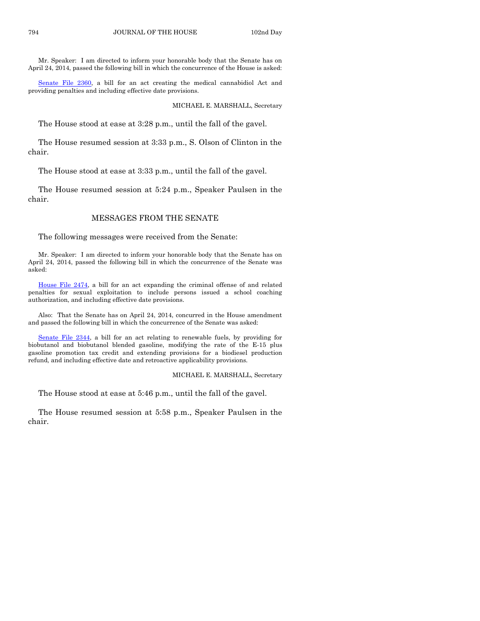Mr. Speaker: I am directed to inform your honorable body that the Senate has on April 24, 2014, passed the following bill in which the concurrence of the House is asked:

[Senate File 2360,](http://coolice.legis.iowa.gov/Cool-ICE/default.asp?Category=billinfo&Service=Billbook&frame=1&GA=85&hbill=SF2360) a bill for an act creating the medical cannabidiol Act and providing penalties and including effective date provisions.

MICHAEL E. MARSHALL, Secretary

The House stood at ease at 3:28 p.m., until the fall of the gavel.

The House resumed session at 3:33 p.m., S. Olson of Clinton in the chair.

The House stood at ease at 3:33 p.m., until the fall of the gavel.

The House resumed session at 5:24 p.m., Speaker Paulsen in the chair.

#### MESSAGES FROM THE SENATE

The following messages were received from the Senate:

Mr. Speaker: I am directed to inform your honorable body that the Senate has on April 24, 2014, passed the following bill in which the concurrence of the Senate was asked:

[House File 2474,](http://coolice.legis.iowa.gov/Cool-ICE/default.asp?Category=billinfo&Service=Billbook&frame=1&GA=85&hbill=HF2474) a bill for an act expanding the criminal offense of and related penalties for sexual exploitation to include persons issued a school coaching authorization, and including effective date provisions.

Also: That the Senate has on April 24, 2014, concurred in the House amendment and passed the following bill in which the concurrence of the Senate was asked:

[Senate File 2344,](http://coolice.legis.iowa.gov/Cool-ICE/default.asp?Category=billinfo&Service=Billbook&frame=1&GA=85&hbill=SF2344) a bill for an act relating to renewable fuels, by providing for biobutanol and biobutanol blended gasoline, modifying the rate of the E-15 plus gasoline promotion tax credit and extending provisions for a biodiesel production refund, and including effective date and retroactive applicability provisions.

MICHAEL E. MARSHALL, Secretary

The House stood at ease at 5:46 p.m., until the fall of the gavel.

The House resumed session at 5:58 p.m., Speaker Paulsen in the chair.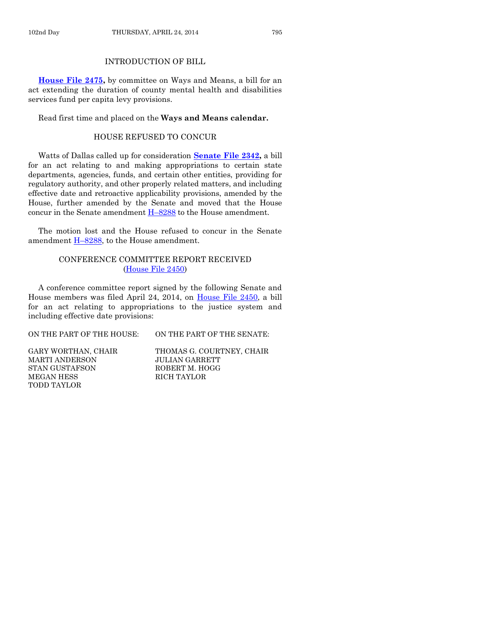#### INTRODUCTION OF BILL

**[House File 2475,](http://coolice.legis.iowa.gov/Cool-ICE/default.asp?Category=billinfo&Service=Billbook&frame=1&GA=85&hbill=HF2475)** by committee on Ways and Means, a bill for an act extending the duration of county mental health and disabilities services fund per capita levy provisions.

Read first time and placed on the **Ways and Means calendar.**

#### HOUSE REFUSED TO CONCUR

Watts of Dallas called up for consideration **[Senate File 2342,](http://coolice.legis.iowa.gov/Cool-ICE/default.asp?Category=billinfo&Service=Billbook&frame=1&GA=85&hbill=SF2342)** a bill for an act relating to and making appropriations to certain state departments, agencies, funds, and certain other entities, providing for regulatory authority, and other properly related matters, and including effective date and retroactive applicability provisions, amended by the House, further amended by the Senate and moved that the House concur in the Senate amendment H–[8288](http://coolice.legis.iowa.gov/Cool-ICE/default.asp?Category=billinfo&Service=Billbook&frame=1&GA=85&hbill=H8288) to the House amendment.

The motion lost and the House refused to concur in the Senate amendment  $H-8288$ , to the House amendment.

#### CONFERENCE COMMITTEE REPORT RECEIVED [\(House File 2450\)](http://coolice.legis.iowa.gov/Cool-ICE/default.asp?Category=billinfo&Service=Billbook&frame=1&GA=85&hbill=HF2450)

A conference committee report signed by the following Senate and House members was filed April 24, 2014, on [House File 2450,](http://coolice.legis.iowa.gov/Cool-ICE/default.asp?Category=billinfo&Service=Billbook&frame=1&GA=85&hbill=HF2450) a bill for an act relating to appropriations to the justice system and including effective date provisions:

ON THE PART OF THE HOUSE: ON THE PART OF THE SENATE:

MARTI ANDERSON JULIAN GARRETT STAN GUSTAFSON ROBERT M. HOGG MEGAN HESS RICH TAYLOR TODD TAYLOR

GARY WORTHAN, CHAIR THOMAS G. COURTNEY, CHAIR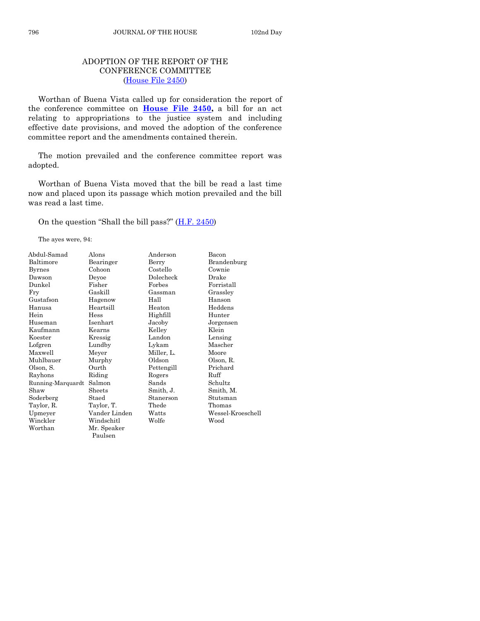#### ADOPTION OF THE REPORT OF THE CONFERENCE COMMITTEE [\(House File 2450\)](http://coolice.legis.iowa.gov/Cool-ICE/default.asp?Category=billinfo&Service=Billbook&frame=1&GA=85&hbill=HF2450)

Worthan of Buena Vista called up for consideration the report of the conference committee on **[House File 2450,](http://coolice.legis.iowa.gov/Cool-ICE/default.asp?Category=billinfo&Service=Billbook&frame=1&GA=85&hbill=HF2450)** a bill for an act relating to appropriations to the justice system and including effective date provisions, and moved the adoption of the conference committee report and the amendments contained therein.

The motion prevailed and the conference committee report was adopted.

Worthan of Buena Vista moved that the bill be read a last time now and placed upon its passage which motion prevailed and the bill was read a last time.

On the question "Shall the bill pass?" [\(H.F. 2450\)](http://coolice.legis.iowa.gov/Cool-ICE/default.asp?Category=billinfo&Service=Billbook&frame=1&GA=85&hbill=HF2450)

The ayes were, 94:

| Abdul-Samad       | Alons         | Anderson   | Bacon             |
|-------------------|---------------|------------|-------------------|
| Baltimore         | Bearinger     | Berry      | Brandenburg       |
| <b>Byrnes</b>     | Cohoon        | Costello   | Cownie            |
| Dawson            | Devoe         | Dolecheck  | Drake             |
| Dunkel            | Fisher        | Forbes     | Forristall        |
| Fry               | Gaskill       | Gassman    | Grassley          |
| Gustafson         | Hagenow       | Hall       | Hanson            |
| Hanusa            | Heartsill     | Heaton     | Heddens           |
| Hein              | Hess          | Highfill   | Hunter            |
| Huseman           | Isenhart      | Jacoby     | Jorgensen         |
| Kaufmann          | Kearns        | Kelley     | Klein             |
| Koester           | Kressig       | Landon     | Lensing           |
| Lofgren           | Lundby        | Lykam      | Mascher           |
| Maxwell           | Meyer         | Miller, L. | Moore             |
| Muhlbauer         | Murphy        | Oldson     | Olson, R.         |
| Olson, S.         | Ourth         | Pettengill | Prichard          |
| Rayhons           | Riding        | Rogers     | Ruff              |
| Running-Marquardt | Salmon        | Sands      | Schultz           |
| Shaw              | Sheets        | Smith, J.  | Smith, M.         |
| Soderberg         | Staed         | Stanerson  | Stutsman          |
| Taylor, R.        | Taylor, T.    | Thede      | Thomas            |
| Upmeyer           | Vander Linden | Watts      | Wessel-Kroeschell |
| Winckler          | Windschitl    | Wolfe      | Wood              |
| Worthan           | Mr. Speaker   |            |                   |
|                   | Paulsen       |            |                   |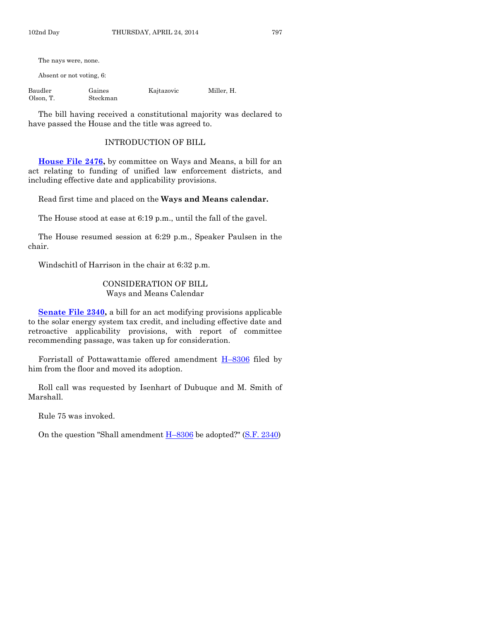The nays were, none.

Absent or not voting, 6:

| Baudler   | Gaines   | Kajtazovic | Miller, H. |
|-----------|----------|------------|------------|
| Olson, T. | Steckman |            |            |

The bill having received a constitutional majority was declared to have passed the House and the title was agreed to.

#### INTRODUCTION OF BILL

**[House File 2476,](http://coolice.legis.iowa.gov/Cool-ICE/default.asp?Category=billinfo&Service=Billbook&frame=1&GA=85&hbill=HF2476)** by committee on Ways and Means, a bill for an act relating to funding of unified law enforcement districts, and including effective date and applicability provisions.

Read first time and placed on the **Ways and Means calendar.**

The House stood at ease at 6:19 p.m., until the fall of the gavel.

The House resumed session at 6:29 p.m., Speaker Paulsen in the chair.

Windschitl of Harrison in the chair at 6:32 p.m.

#### CONSIDERATION OF BILL Ways and Means Calendar

**Senate File 2340**, a bill for an act modifying provisions applicable to the solar energy system tax credit, and including effective date and retroactive applicability provisions, with report of committee recommending passage, was taken up for consideration.

Forristall of Pottawattamie offered amendment H–[8306](http://coolice.legis.iowa.gov/Cool-ICE/default.asp?Category=billinfo&Service=Billbook&frame=1&GA=85&hbill=H8306) filed by him from the floor and moved its adoption.

Roll call was requested by Isenhart of Dubuque and M. Smith of Marshall.

Rule 75 was invoked.

On the question "Shall amendment H–[8306](http://coolice.legis.iowa.gov/Cool-ICE/default.asp?Category=billinfo&Service=Billbook&frame=1&GA=85&hbill=H8306) be adopted?" [\(S.F. 2340\)](http://coolice.legis.iowa.gov/Cool-ICE/default.asp?Category=billinfo&Service=Billbook&frame=1&GA=85&hbill=SF2340)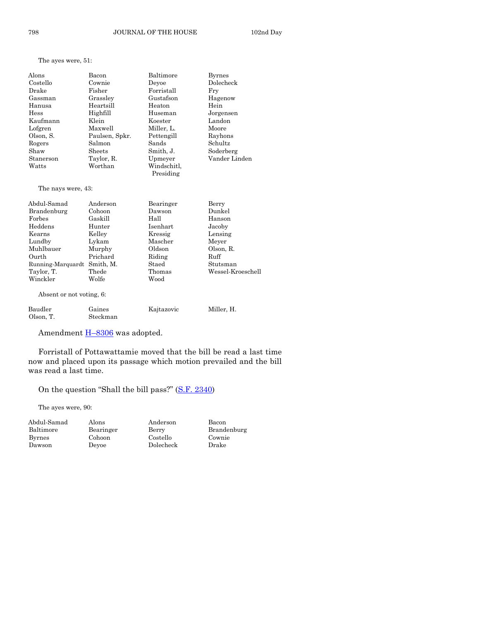|  |  | The ayes were, 51: |  |
|--|--|--------------------|--|
|--|--|--------------------|--|

| Alons                       | Bacon          | Baltimore   | <b>Byrnes</b>     |
|-----------------------------|----------------|-------------|-------------------|
| Costello                    | Cownie         | Devoe       | Dolecheck         |
| Drake                       | Fisher         | Forristall  | Fry               |
| Gassman                     | Grassley       | Gustafson   | Hagenow           |
| Hanusa                      | Heartsill      | Heaton      | Hein              |
| Hess                        | Highfill       | Huseman     | Jorgensen         |
| Kaufmann                    | Klein          | Koester     | Landon            |
| Lofgren                     | Maxwell        | Miller, L.  | Moore             |
| Olson, S.                   | Paulsen, Spkr. | Pettengill  | Rayhons           |
| Rogers                      | Salmon         | Sands       | Schultz           |
| Shaw                        | Sheets         | Smith, J.   | Soderberg         |
| Stanerson                   | Taylor, R.     | Upmeyer     | Vander Linden     |
| Watts                       | Worthan        | Windschitl, |                   |
|                             |                | Presiding   |                   |
| The nays were, 43:          |                |             |                   |
| Abdul-Samad                 | Anderson       | Bearinger   | Berry             |
| Brandenburg                 | Cohoon         | Dawson      | Dunkel            |
| Forbes                      | Gaskill        | Hall        | Hanson            |
| Heddens                     | Hunter         | Isenhart    | Jacoby            |
| Kearns                      | Kelley         | Kressig     | Lensing           |
| Lundby                      | Lykam          | Mascher     | Meyer             |
| Muhlbauer                   | Murphy         | Oldson      | Olson, R.         |
| Ourth                       | Prichard       | Riding      | Ruff              |
| Running-Marquardt Smith, M. |                | Staed       | Stutsman          |
| Taylor, T.                  | Thede          | Thomas      | Wessel-Kroeschell |
| Winckler                    | Wolfe          | Wood        |                   |
| Absent or not voting, 6:    |                |             |                   |
| Baudler                     | Gaines         | Kajtazovic  | Miller, H.        |
| Olson, T.                   | Steckman       |             |                   |

Amendment **H-[8306](http://coolice.legis.iowa.gov/Cool-ICE/default.asp?Category=billinfo&Service=Billbook&frame=1&GA=85&hbill=H8306)** was adopted.

Forristall of Pottawattamie moved that the bill be read a last time now and placed upon its passage which motion prevailed and the bill was read a last time.

On the question "Shall the bill pass?" ([S.F. 2340\)](http://coolice.legis.iowa.gov/Cool-ICE/default.asp?Category=billinfo&Service=Billbook&frame=1&GA=85&hbill=SF2340)

The ayes were, 90:

| Abdul-Sama    |
|---------------|
| Baltimore     |
| <b>Byrnes</b> |
| Dawson        |
|               |

Abdul-Samad Alons Anderson Bacon Cohoon Costello Cownie Dawson Deyoe Dolecheck Drake

Bearinger Berry Brandenburg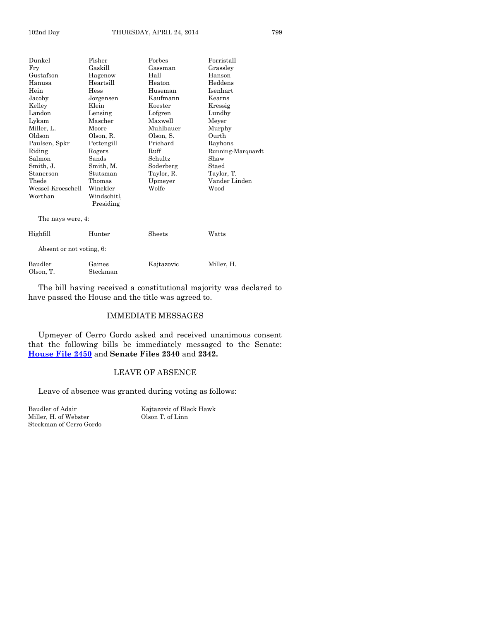| Dunkel                   | Fisher                   | Forbes     | Forristall        |
|--------------------------|--------------------------|------------|-------------------|
| Fry                      | Gaskill                  | Gassman    | Grassley          |
| Gustafson                | Hagenow                  | Hall       | Hanson            |
| Hanusa                   | Heartsill                | Heaton     | Heddens           |
| Hein                     | Hess                     | Huseman    | Isenhart          |
| Jacoby                   | Jorgensen                | Kaufmann   | Kearns            |
| Kelley                   | Klein                    | Koester    | Kressig           |
| Landon                   | Lensing                  | Lofgren    | Lundby            |
| Lykam                    | Mascher                  | Maxwell    | Meyer             |
| Miller, L.               | Moore                    | Muhlbauer  | Murphy            |
| Oldson                   | Olson, R.                | Olson, S.  | Ourth             |
| Paulsen, Spkr            | Pettengill               | Prichard   | Rayhons           |
| Riding                   | Rogers                   | Ruff       | Running-Marquardt |
| Salmon                   | Sands                    | Schultz    | Shaw              |
| Smith, J.                | Smith, M.                | Soderberg  | Staed             |
| Stanerson                | Stutsman                 | Taylor, R. | Taylor, T.        |
| Thede                    | Thomas                   | Upmeyer    | Vander Linden     |
| Wessel-Kroeschell        | Winckler                 | Wolfe      | Wood              |
| Worthan                  | Windschitl,<br>Presiding |            |                   |
|                          |                          |            |                   |
| The nays were, 4:        |                          |            |                   |
| Highfill                 | Hunter                   | Sheets     | Watts             |
| Absent or not voting, 6: |                          |            |                   |
| Baudler                  | Gaines                   | Kajtazovic | Miller, H.        |
| Olson, T.                | Steckman                 |            |                   |

The bill having received a constitutional majority was declared to have passed the House and the title was agreed to.

#### IMMEDIATE MESSAGES

Upmeyer of Cerro Gordo asked and received unanimous consent that the following bills be immediately messaged to the Senate: **[House File 2450](http://coolice.legis.iowa.gov/Cool-ICE/default.asp?Category=billinfo&Service=Billbook&frame=1&GA=85&hbill=HF2450)** and **Senate Files 2340** and **2342.**

#### LEAVE OF ABSENCE

Leave of absence was granted during voting as follows:

Miller, H. of Webster Steckman of Cerro Gordo

Baudler of Adair Kajtazovic of Black Hawk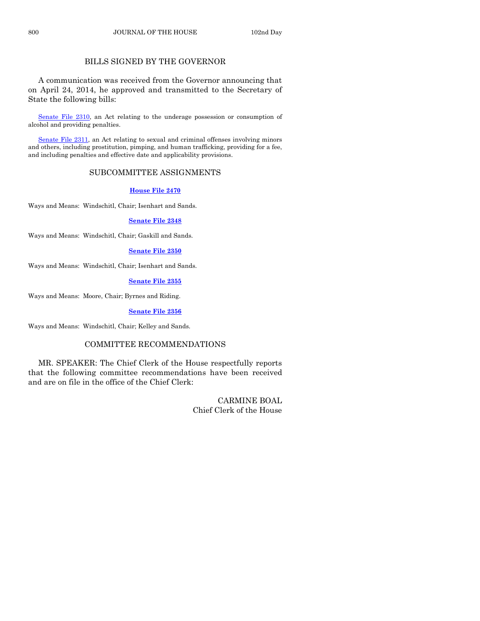#### BILLS SIGNED BY THE GOVERNOR

A communication was received from the Governor announcing that on April 24, 2014, he approved and transmitted to the Secretary of State the following bills:

Senate [File 2310,](http://coolice.legis.iowa.gov/Cool-ICE/default.asp?Category=billinfo&Service=Billbook&frame=1&GA=85&hbill=SF2310) an Act relating to the underage possession or consumption of alcohol and providing penalties.

Senate [File 2311,](http://coolice.legis.iowa.gov/Cool-ICE/default.asp?Category=billinfo&Service=Billbook&frame=1&GA=85&hbill=SF2311) an Act relating to sexual and criminal offenses involving minors and others, including prostitution, pimping, and human trafficking, providing for a fee, and including penalties and effective date and applicability provisions.

#### SUBCOMMITTEE ASSIGNMENTS

#### **[House File 2470](http://coolice.legis.iowa.gov/Cool-ICE/default.asp?Category=billinfo&Service=Billbook&frame=1&GA=85&hbill=HF2470)**

Ways and Means: Windschitl, Chair; Isenhart and Sands.

#### **[Senate File 2348](http://coolice.legis.iowa.gov/Cool-ICE/default.asp?Category=billinfo&Service=Billbook&frame=1&GA=85&hbill=SF2348)**

Ways and Means: Windschitl, Chair; Gaskill and Sands.

#### **[Senate File 2350](http://coolice.legis.iowa.gov/Cool-ICE/default.asp?Category=billinfo&Service=Billbook&frame=1&GA=85&hbill=SF2350)**

Ways and Means: Windschitl, Chair; Isenhart and Sands.

#### **[Senate File 2355](http://coolice.legis.iowa.gov/Cool-ICE/default.asp?Category=billinfo&Service=Billbook&frame=1&GA=85&hbill=SF2355)**

Ways and Means: Moore, Chair; Byrnes and Riding.

**[Senate File 2356](http://coolice.legis.iowa.gov/Cool-ICE/default.asp?Category=billinfo&Service=Billbook&frame=1&GA=85&hbill=SF2356)**

Ways and Means: Windschitl, Chair; Kelley and Sands.

#### COMMITTEE RECOMMENDATIONS

MR. SPEAKER: The Chief Clerk of the House respectfully reports that the following committee recommendations have been received and are on file in the office of the Chief Clerk:

> CARMINE BOAL Chief Clerk of the House